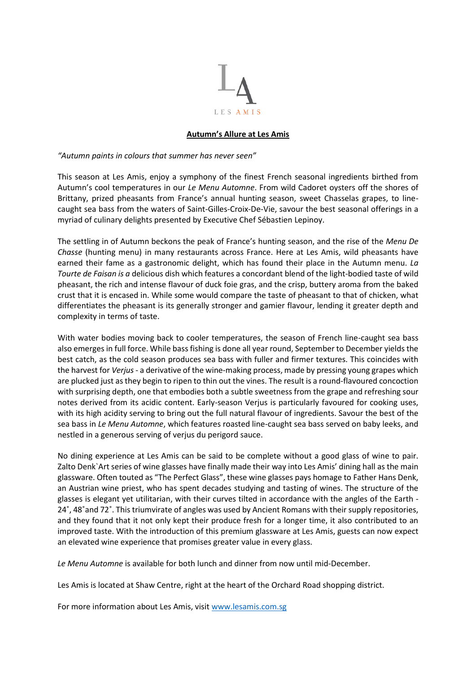

## **Autumn's Allure at Les Amis**

*"Autumn paints in colours that summer has never seen"*

This season at Les Amis, enjoy a symphony of the finest French seasonal ingredients birthed from Autumn's cool temperatures in our *Le Menu Automne*. From wild Cadoret oysters off the shores of Brittany, prized pheasants from France's annual hunting season, sweet Chasselas grapes, to linecaught sea bass from the waters of Saint-Gilles-Croix-De-Vie, savour the best seasonal offerings in a myriad of culinary delights presented by Executive Chef Sébastien Lepinoy.

The settling in of Autumn beckons the peak of France's hunting season, and the rise of the *Menu De Chasse* (hunting menu) in many restaurants across France. Here at Les Amis, wild pheasants have earned their fame as a gastronomic delight, which has found their place in the Autumn menu. *La Tourte de Faisan is a* delicious dish which features a concordant blend of the light-bodied taste of wild pheasant, the rich and intense flavour of duck foie gras, and the crisp, buttery aroma from the baked crust that it is encased in. While some would compare the taste of pheasant to that of chicken, what differentiates the pheasant is its generally stronger and gamier flavour, lending it greater depth and complexity in terms of taste.

With water bodies moving back to cooler temperatures, the season of French line-caught sea bass also emerges in full force. While bass fishing is done all year round, September to December yields the best catch, as the cold season produces sea bass with fuller and firmer textures. This coincides with the harvest for *Verjus* - a derivative of the wine-making process, made by pressing young grapes which are plucked just as they begin to ripen to thin out the vines. The result is a round-flavoured concoction with surprising depth, one that embodies both a subtle sweetness from the grape and refreshing sour notes derived from its acidic content. Early-season Verjus is particularly favoured for cooking uses, with its high acidity serving to bring out the full natural flavour of ingredients. Savour the best of the sea bass in *Le Menu Automne*, which features roasted line-caught sea bass served on baby leeks, and nestled in a generous serving of verjus du perigord sauce.

No dining experience at Les Amis can be said to be complete without a good glass of wine to pair. Zalto Denk`Art series of wine glasses have finally made their way into Les Amis' dining hall as the main glassware. Often touted as "The Perfect Glass", these wine glasses pays homage to Father Hans Denk, an Austrian wine priest, who has spent decades studying and tasting of wines. The structure of the glasses is elegant yet utilitarian, with their curves tilted in accordance with the angles of the Earth - 24˚, 48˚and 72˚. This triumvirate of angles was used by Ancient Romans with their supply repositories, and they found that it not only kept their produce fresh for a longer time, it also contributed to an improved taste. With the introduction of this premium glassware at Les Amis, guests can now expect an elevated wine experience that promises greater value in every glass.

Le Menu Automne is available for both lunch and dinner from now until mid-December.

Les Amis is located at Shaw Centre, right at the heart of the Orchard Road shopping district.

For more information about Les Amis, visi[t www.lesamis.com.sg](http://www.lesamis.com.sg/)